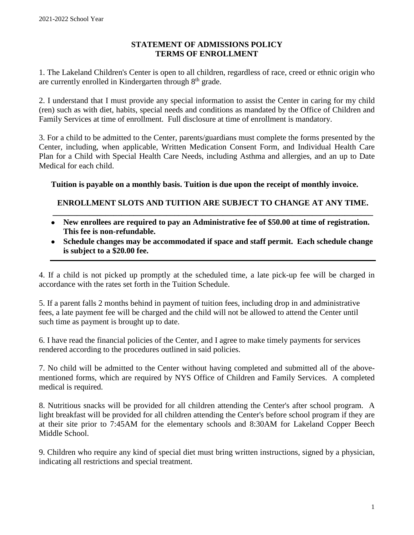## **STATEMENT OF ADMISSIONS POLICY TERMS OF ENROLLMENT**

1. The Lakeland Children's Center is open to all children, regardless of race, creed or ethnic origin who are currently enrolled in Kindergarten through 8<sup>th</sup> grade.

2. I understand that I must provide any special information to assist the Center in caring for my child (ren) such as with diet, habits, special needs and conditions as mandated by the Office of Children and Family Services at time of enrollment. Full disclosure at time of enrollment is mandatory.

3. For a child to be admitted to the Center, parents/guardians must complete the forms presented by the Center, including, when applicable, Written Medication Consent Form, and Individual Health Care Plan for a Child with Special Health Care Needs, including Asthma and allergies, and an up to Date Medical for each child.

**Tuition is payable on a monthly basis. Tuition is due upon the receipt of monthly invoice.** 

## **ENROLLMENT SLOTS AND TUITION ARE SUBJECT TO CHANGE AT ANY TIME. \_\_\_\_\_\_\_\_\_\_\_\_\_\_\_\_\_\_\_\_\_\_\_\_\_\_\_\_\_\_\_\_\_\_\_\_\_\_\_\_\_\_\_\_\_\_\_\_\_\_\_\_\_\_\_\_\_\_\_\_\_\_\_\_\_\_\_\_\_\_\_\_\_\_\_\_\_\_\_**

- **New enrollees are required to pay an Administrative fee of \$50.00 at time of registration. This fee is non-refundable.**
- **Schedule changes may be accommodated if space and staff permit. Each schedule change is subject to a \$20.00 fee.**

4. If a child is not picked up promptly at the scheduled time, a late pick-up fee will be charged in accordance with the rates set forth in the Tuition Schedule.

5. If a parent falls 2 months behind in payment of tuition fees, including drop in and administrative fees, a late payment fee will be charged and the child will not be allowed to attend the Center until such time as payment is brought up to date.

6. I have read the financial policies of the Center, and I agree to make timely payments for services rendered according to the procedures outlined in said policies.

7. No child will be admitted to the Center without having completed and submitted all of the abovementioned forms, which are required by NYS Office of Children and Family Services. A completed medical is required.

8. Nutritious snacks will be provided for all children attending the Center's after school program. A light breakfast will be provided for all children attending the Center's before school program if they are at their site prior to 7:45AM for the elementary schools and 8:30AM for Lakeland Copper Beech Middle School.

9. Children who require any kind of special diet must bring written instructions, signed by a physician, indicating all restrictions and special treatment.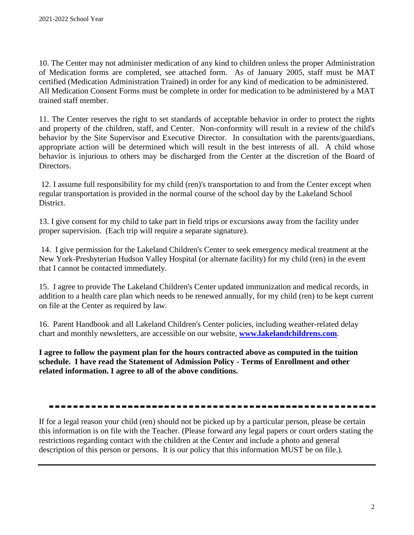10. The Center may not administer medication of any kind to children unless the proper Administration of Medication forms are completed, see attached form. As of January 2005, staff must be MAT certified (Medication Administration Trained) in order for any kind of medication to be administered. All Medication Consent Forms must be complete in order for medication to be administered by a MAT trained staff member.

11. The Center reserves the right to set standards of acceptable behavior in order to protect the rights and property of the children, staff, and Center. Non-conformity will result in a review of the child's behavior by the Site Supervisor and Executive Director. In consultation with the parents/guardians, appropriate action will be determined which will result in the best interests of all. A child whose behavior is injurious to others may be discharged from the Center at the discretion of the Board of Directors.

12. I assume full responsibility for my child (ren)'s transportation to and from the Center except when regular transportation is provided in the normal course of the school day by the Lakeland School District.

13. I give consent for my child to take part in field trips or excursions away from the facility under proper supervision. (Each trip will require a separate signature).

14. I give permission for the Lakeland Children's Center to seek emergency medical treatment at the New York-Presbyterian Hudson Valley Hospital (or alternate facility) for my child (ren) in the event that I cannot be contacted immediately.

15. I agree to provide The Lakeland Children's Center updated immunization and medical records, in addition to a health care plan which needs to be renewed annually, for my child (ren) to be kept current on file at the Center as required by law.

16. Parent Handbook and all Lakeland Children's Center policies, including weather-related delay chart and monthly newsletters, are accessible on our website, **[www.lakelandchildrens.com](http://www.lakelandchildrens.com/)**.

**I agree to follow the payment plan for the hours contracted above as computed in the tuition schedule. I have read the Statement of Admission Policy - Terms of Enrollment and other related information. I agree to all of the above conditions.**

If for a legal reason your child (ren) should not be picked up by a particular person, please be certain this information is on file with the Teacher. (Please forward any legal papers or court orders stating the restrictions regarding contact with the children at the Center and include a photo and general description of this person or persons. It is our policy that this information MUST be on file.).